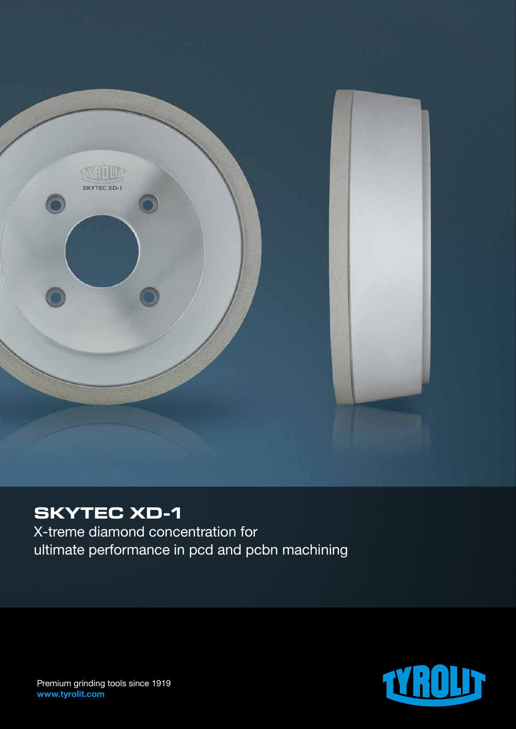

## **SKYTEC XD-1**

X-treme diamond concentration for ultimate performance in pcd and pcbn machining



Premium grinding tools since 1919 www.tyrolit.com